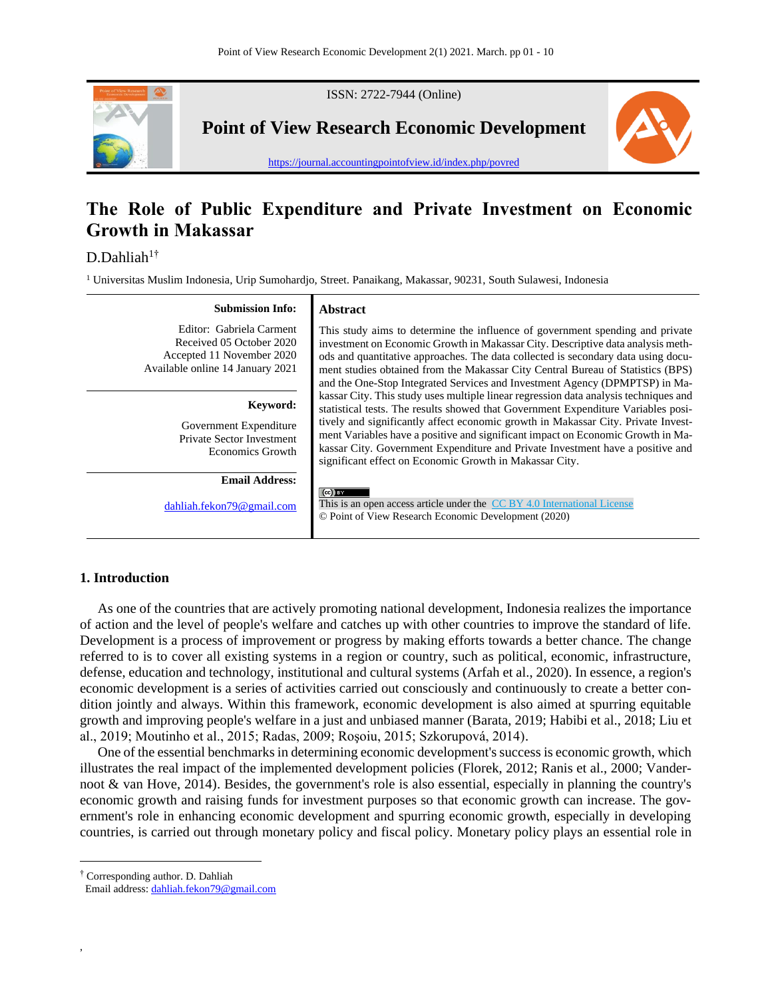

# **The Role of Public Expenditure and Private Investment on Economic Growth in Makassar**

D.Dahliah<sup>1†</sup>

<sup>1</sup> Universitas Muslim Indonesia, Urip Sumohardjo, Street. Panaikang, Makassar, 90231, South Sulawesi, Indonesia

| <b>Submission Info:</b>                                                                                               | <b>Abstract</b>                                                                                                                                                                                                                                                                                                                                                                                                                                                                                |
|-----------------------------------------------------------------------------------------------------------------------|------------------------------------------------------------------------------------------------------------------------------------------------------------------------------------------------------------------------------------------------------------------------------------------------------------------------------------------------------------------------------------------------------------------------------------------------------------------------------------------------|
| Editor: Gabriela Carment<br>Received 05 October 2020<br>Accepted 11 November 2020<br>Available online 14 January 2021 | This study aims to determine the influence of government spending and private<br>investment on Economic Growth in Makassar City. Descriptive data analysis meth-<br>ods and quantitative approaches. The data collected is secondary data using docu-<br>ment studies obtained from the Makassar City Central Bureau of Statistics (BPS)<br>and the One-Stop Integrated Services and Investment Agency (DPMPTSP) in Ma-                                                                        |
| Keyword:<br>Government Expenditure<br>Private Sector Investment<br><b>Economics Growth</b>                            | kassar City. This study uses multiple linear regression data analysis techniques and<br>statistical tests. The results showed that Government Expenditure Variables posi-<br>tively and significantly affect economic growth in Makassar City. Private Invest-<br>ment Variables have a positive and significant impact on Economic Growth in Ma-<br>kassar City. Government Expenditure and Private Investment have a positive and<br>significant effect on Economic Growth in Makassar City. |
| <b>Email Address:</b><br>dahliah.fekon79@gmail.com                                                                    | $(cc)$ BY<br>This is an open access article under the CC BY 4.0 International License<br>© Point of View Research Economic Development (2020)                                                                                                                                                                                                                                                                                                                                                  |

# **1. Introduction**

As one of the countries that are actively promoting national development, Indonesia realizes the importance of action and the level of people's welfare and catches up with other countries to improve the standard of life. Development is a process of improvement or progress by making efforts towards a better chance. The change referred to is to cover all existing systems in a region or country, such as political, economic, infrastructure, defense, education and technology, institutional and cultural systems (Arfah et al., 2020). In essence, a region's economic development is a series of activities carried out consciously and continuously to create a better condition jointly and always. Within this framework, economic development is also aimed at spurring equitable growth and improving people's welfare in a just and unbiased manner (Barata, 2019; Habibi et al., 2018; Liu et al., 2019; Moutinho et al., 2015; Radas, 2009; Roşoiu, 2015; Szkorupová, 2014).

One of the essential benchmarks in determining economic development's success is economic growth, which illustrates the real impact of the implemented development policies (Florek, 2012; Ranis et al., 2000; Vandernoot & van Hove, 2014). Besides, the government's role is also essential, especially in planning the country's economic growth and raising funds for investment purposes so that economic growth can increase. The government's role in enhancing economic development and spurring economic growth, especially in developing countries, is carried out through monetary policy and fiscal policy. Monetary policy plays an essential role in

† Corresponding author. D. Dahliah

,

Email address: [dahliah.fekon79@gmail.com](mailto:dahliah.fekon79@gmail.com)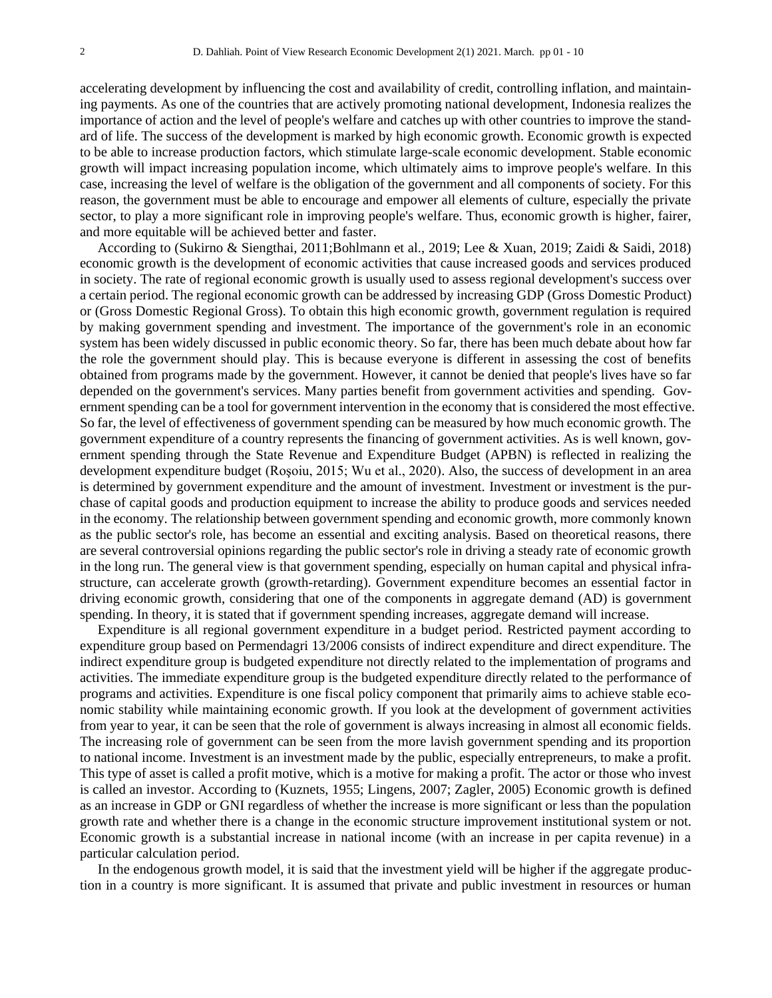accelerating development by influencing the cost and availability of credit, controlling inflation, and maintaining payments. As one of the countries that are actively promoting national development, Indonesia realizes the importance of action and the level of people's welfare and catches up with other countries to improve the standard of life. The success of the development is marked by high economic growth. Economic growth is expected to be able to increase production factors, which stimulate large-scale economic development. Stable economic growth will impact increasing population income, which ultimately aims to improve people's welfare. In this case, increasing the level of welfare is the obligation of the government and all components of society. For this reason, the government must be able to encourage and empower all elements of culture, especially the private sector, to play a more significant role in improving people's welfare. Thus, economic growth is higher, fairer, and more equitable will be achieved better and faster.

According to (Sukirno & Siengthai, 2011;Bohlmann et al., 2019; Lee & Xuan, 2019; Zaidi & Saidi, 2018) economic growth is the development of economic activities that cause increased goods and services produced in society. The rate of regional economic growth is usually used to assess regional development's success over a certain period. The regional economic growth can be addressed by increasing GDP (Gross Domestic Product) or (Gross Domestic Regional Gross). To obtain this high economic growth, government regulation is required by making government spending and investment. The importance of the government's role in an economic system has been widely discussed in public economic theory. So far, there has been much debate about how far the role the government should play. This is because everyone is different in assessing the cost of benefits obtained from programs made by the government. However, it cannot be denied that people's lives have so far depended on the government's services. Many parties benefit from government activities and spending. Government spending can be a tool for government intervention in the economy that is considered the most effective. So far, the level of effectiveness of government spending can be measured by how much economic growth. The government expenditure of a country represents the financing of government activities. As is well known, government spending through the State Revenue and Expenditure Budget (APBN) is reflected in realizing the development expenditure budget (Roşoiu, 2015; Wu et al., 2020). Also, the success of development in an area is determined by government expenditure and the amount of investment. Investment or investment is the purchase of capital goods and production equipment to increase the ability to produce goods and services needed in the economy. The relationship between government spending and economic growth, more commonly known as the public sector's role, has become an essential and exciting analysis. Based on theoretical reasons, there are several controversial opinions regarding the public sector's role in driving a steady rate of economic growth in the long run. The general view is that government spending, especially on human capital and physical infrastructure, can accelerate growth (growth-retarding). Government expenditure becomes an essential factor in driving economic growth, considering that one of the components in aggregate demand (AD) is government spending. In theory, it is stated that if government spending increases, aggregate demand will increase.

Expenditure is all regional government expenditure in a budget period. Restricted payment according to expenditure group based on Permendagri 13/2006 consists of indirect expenditure and direct expenditure. The indirect expenditure group is budgeted expenditure not directly related to the implementation of programs and activities. The immediate expenditure group is the budgeted expenditure directly related to the performance of programs and activities. Expenditure is one fiscal policy component that primarily aims to achieve stable economic stability while maintaining economic growth. If you look at the development of government activities from year to year, it can be seen that the role of government is always increasing in almost all economic fields. The increasing role of government can be seen from the more lavish government spending and its proportion to national income. Investment is an investment made by the public, especially entrepreneurs, to make a profit. This type of asset is called a profit motive, which is a motive for making a profit. The actor or those who invest is called an investor. According to (Kuznets, 1955; Lingens, 2007; Zagler, 2005) Economic growth is defined as an increase in GDP or GNI regardless of whether the increase is more significant or less than the population growth rate and whether there is a change in the economic structure improvement institutional system or not. Economic growth is a substantial increase in national income (with an increase in per capita revenue) in a particular calculation period.

In the endogenous growth model, it is said that the investment yield will be higher if the aggregate production in a country is more significant. It is assumed that private and public investment in resources or human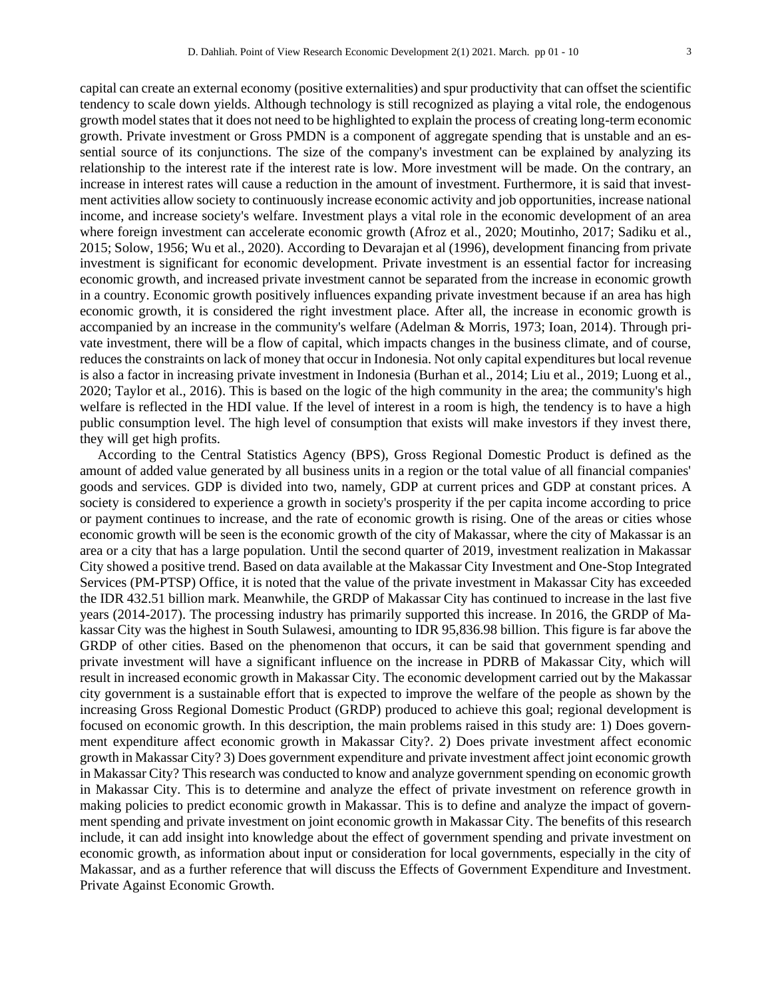capital can create an external economy (positive externalities) and spur productivity that can offset the scientific tendency to scale down yields. Although technology is still recognized as playing a vital role, the endogenous growth model states that it does not need to be highlighted to explain the process of creating long-term economic growth. Private investment or Gross PMDN is a component of aggregate spending that is unstable and an essential source of its conjunctions. The size of the company's investment can be explained by analyzing its relationship to the interest rate if the interest rate is low. More investment will be made. On the contrary, an increase in interest rates will cause a reduction in the amount of investment. Furthermore, it is said that investment activities allow society to continuously increase economic activity and job opportunities, increase national income, and increase society's welfare. Investment plays a vital role in the economic development of an area where foreign investment can accelerate economic growth (Afroz et al., 2020; Moutinho, 2017; Sadiku et al., 2015; Solow, 1956; Wu et al., 2020). According to Devarajan et al (1996), development financing from private investment is significant for economic development. Private investment is an essential factor for increasing economic growth, and increased private investment cannot be separated from the increase in economic growth in a country. Economic growth positively influences expanding private investment because if an area has high economic growth, it is considered the right investment place. After all, the increase in economic growth is accompanied by an increase in the community's welfare (Adelman & Morris, 1973; Ioan, 2014). Through private investment, there will be a flow of capital, which impacts changes in the business climate, and of course, reduces the constraints on lack of money that occur in Indonesia. Not only capital expenditures but local revenue is also a factor in increasing private investment in Indonesia (Burhan et al., 2014; Liu et al., 2019; Luong et al., 2020; Taylor et al., 2016). This is based on the logic of the high community in the area; the community's high welfare is reflected in the HDI value. If the level of interest in a room is high, the tendency is to have a high public consumption level. The high level of consumption that exists will make investors if they invest there, they will get high profits.

According to the Central Statistics Agency (BPS), Gross Regional Domestic Product is defined as the amount of added value generated by all business units in a region or the total value of all financial companies' goods and services. GDP is divided into two, namely, GDP at current prices and GDP at constant prices. A society is considered to experience a growth in society's prosperity if the per capita income according to price or payment continues to increase, and the rate of economic growth is rising. One of the areas or cities whose economic growth will be seen is the economic growth of the city of Makassar, where the city of Makassar is an area or a city that has a large population. Until the second quarter of 2019, investment realization in Makassar City showed a positive trend. Based on data available at the Makassar City Investment and One-Stop Integrated Services (PM-PTSP) Office, it is noted that the value of the private investment in Makassar City has exceeded the IDR 432.51 billion mark. Meanwhile, the GRDP of Makassar City has continued to increase in the last five years (2014-2017). The processing industry has primarily supported this increase. In 2016, the GRDP of Makassar City was the highest in South Sulawesi, amounting to IDR 95,836.98 billion. This figure is far above the GRDP of other cities. Based on the phenomenon that occurs, it can be said that government spending and private investment will have a significant influence on the increase in PDRB of Makassar City, which will result in increased economic growth in Makassar City. The economic development carried out by the Makassar city government is a sustainable effort that is expected to improve the welfare of the people as shown by the increasing Gross Regional Domestic Product (GRDP) produced to achieve this goal; regional development is focused on economic growth. In this description, the main problems raised in this study are: 1) Does government expenditure affect economic growth in Makassar City?. 2) Does private investment affect economic growth in Makassar City? 3) Does government expenditure and private investment affect joint economic growth in Makassar City? This research was conducted to know and analyze government spending on economic growth in Makassar City. This is to determine and analyze the effect of private investment on reference growth in making policies to predict economic growth in Makassar. This is to define and analyze the impact of government spending and private investment on joint economic growth in Makassar City. The benefits of this research include, it can add insight into knowledge about the effect of government spending and private investment on economic growth, as information about input or consideration for local governments, especially in the city of Makassar, and as a further reference that will discuss the Effects of Government Expenditure and Investment. Private Against Economic Growth.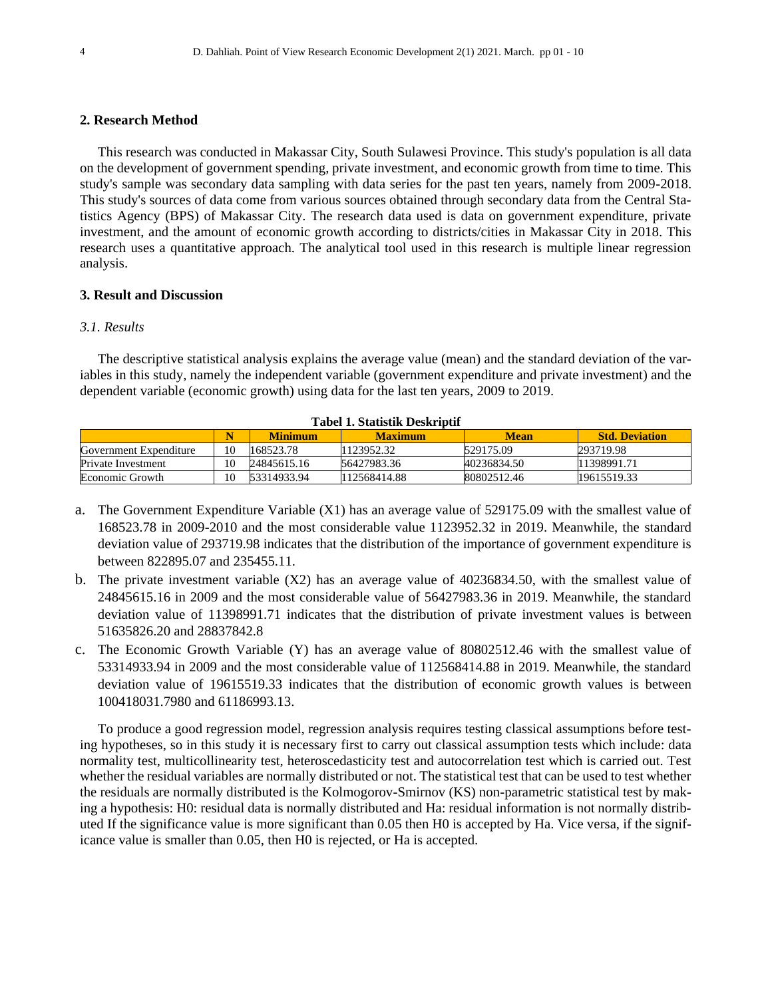#### **2. Research Method**

This research was conducted in Makassar City, South Sulawesi Province. This study's population is all data on the development of government spending, private investment, and economic growth from time to time. This study's sample was secondary data sampling with data series for the past ten years, namely from 2009-2018. This study's sources of data come from various sources obtained through secondary data from the Central Statistics Agency (BPS) of Makassar City. The research data used is data on government expenditure, private investment, and the amount of economic growth according to districts/cities in Makassar City in 2018. This research uses a quantitative approach. The analytical tool used in this research is multiple linear regression analysis.

#### **3. Result and Discussion**

#### *3.1. Results*

The descriptive statistical analysis explains the average value (mean) and the standard deviation of the variables in this study, namely the independent variable (government expenditure and private investment) and the dependent variable (economic growth) using data for the last ten years, 2009 to 2019.

|                        | Tabel 1. Biatistik Deski iptii |                |                |             |                       |  |  |  |  |
|------------------------|--------------------------------|----------------|----------------|-------------|-----------------------|--|--|--|--|
|                        |                                | <b>Minimum</b> | <b>Maximum</b> | Mean        | <b>Std. Deviation</b> |  |  |  |  |
| Government Expenditure | 10                             | 168523.78      | 1123952.32     | 529175.09   | 293719.98             |  |  |  |  |
| Private Investment     | 10                             | 24845615.16    | 56427983.36    | 40236834.50 | 11398991.71           |  |  |  |  |
| Economic Growth        | 10                             | 53314933.94    | 112568414.88   | 80802512.46 | 19615519.33           |  |  |  |  |

#### **Tabel 1. Statistik Deskriptif**

- a. The Government Expenditure Variable (X1) has an average value of 529175.09 with the smallest value of 168523.78 in 2009-2010 and the most considerable value 1123952.32 in 2019. Meanwhile, the standard deviation value of 293719.98 indicates that the distribution of the importance of government expenditure is between 822895.07 and 235455.11.
- b. The private investment variable (X2) has an average value of 40236834.50, with the smallest value of 24845615.16 in 2009 and the most considerable value of 56427983.36 in 2019. Meanwhile, the standard deviation value of 11398991.71 indicates that the distribution of private investment values is between 51635826.20 and 28837842.8
- c. The Economic Growth Variable (Y) has an average value of 80802512.46 with the smallest value of 53314933.94 in 2009 and the most considerable value of 112568414.88 in 2019. Meanwhile, the standard deviation value of 19615519.33 indicates that the distribution of economic growth values is between 100418031.7980 and 61186993.13.

To produce a good regression model, regression analysis requires testing classical assumptions before testing hypotheses, so in this study it is necessary first to carry out classical assumption tests which include: data normality test, multicollinearity test, heteroscedasticity test and autocorrelation test which is carried out. Test whether the residual variables are normally distributed or not. The statistical test that can be used to test whether the residuals are normally distributed is the Kolmogorov-Smirnov (KS) non-parametric statistical test by making a hypothesis: H0: residual data is normally distributed and Ha: residual information is not normally distributed If the significance value is more significant than 0.05 then H0 is accepted by Ha. Vice versa, if the significance value is smaller than 0.05, then H0 is rejected, or Ha is accepted.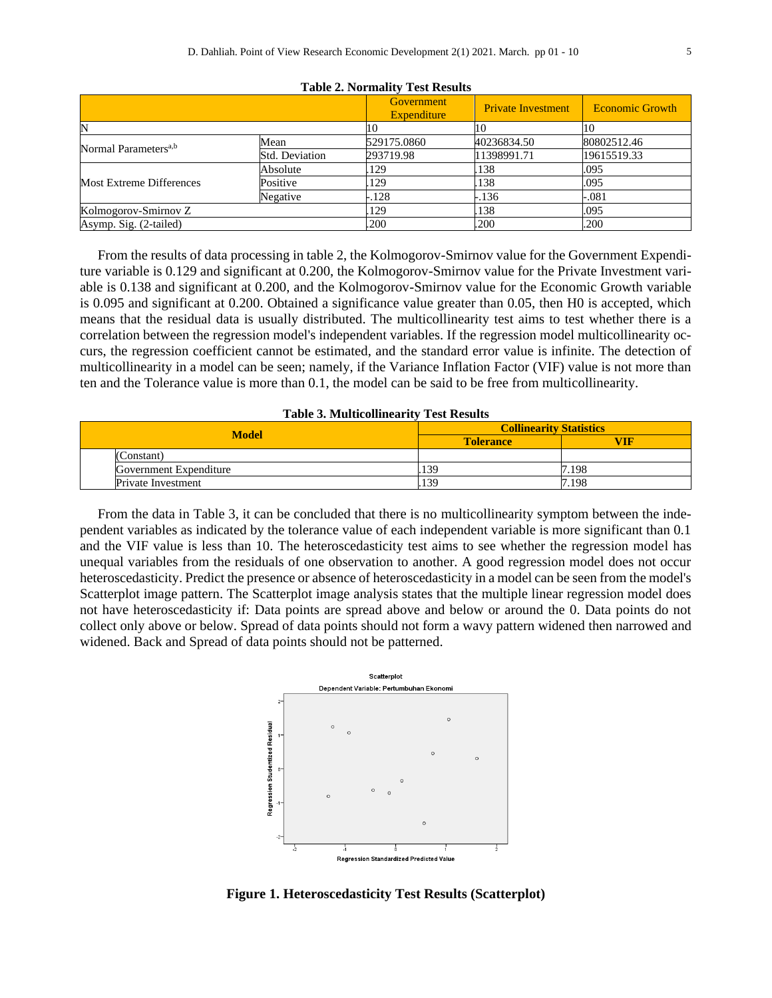|                                  |                | Government<br>Expenditure | <b>Private Investment</b> | <b>Economic Growth</b> |
|----------------------------------|----------------|---------------------------|---------------------------|------------------------|
|                                  |                | 10                        |                           | 10                     |
| Normal Parameters <sup>a,b</sup> | Mean           | 529175.0860               | 40236834.50               | 80802512.46            |
|                                  | Std. Deviation | 293719.98                 | 11398991.71               | 19615519.33            |
| Most Extreme Differences         | Absolute       | 129                       | 138                       | .095                   |
|                                  | Positive       | 129                       | 138                       | .095                   |
|                                  | Negative       | $-.128$                   | $-.136$                   | -.081                  |
| Kolmogorov-Smirnov Z             |                | 129                       | 138                       | .095                   |
| Asymp. Sig. (2-tailed)           |                | .200                      | .200                      | .200                   |

**Table 2. Normality Test Results**

From the results of data processing in table 2, the Kolmogorov-Smirnov value for the Government Expenditure variable is 0.129 and significant at 0.200, the Kolmogorov-Smirnov value for the Private Investment variable is 0.138 and significant at 0.200, and the Kolmogorov-Smirnov value for the Economic Growth variable is 0.095 and significant at 0.200. Obtained a significance value greater than 0.05, then H0 is accepted, which means that the residual data is usually distributed. The multicollinearity test aims to test whether there is a correlation between the regression model's independent variables. If the regression model multicollinearity occurs, the regression coefficient cannot be estimated, and the standard error value is infinite. The detection of multicollinearity in a model can be seen; namely, if the Variance Inflation Factor (VIF) value is not more than ten and the Tolerance value is more than 0.1, the model can be said to be free from multicollinearity.

|  | <b>Table 3. Multicollinearity Test Results</b> |  |
|--|------------------------------------------------|--|
|--|------------------------------------------------|--|

| <b>Model</b>              | <b>Collinearity Statistics</b> |       |  |  |  |
|---------------------------|--------------------------------|-------|--|--|--|
|                           | <b>Tolerance</b>               | VIF   |  |  |  |
| (Constant)                |                                |       |  |  |  |
| Government Expenditure    | .139                           | 7.198 |  |  |  |
| <b>Private Investment</b> | .139                           | 7.198 |  |  |  |

From the data in Table 3, it can be concluded that there is no multicollinearity symptom between the independent variables as indicated by the tolerance value of each independent variable is more significant than 0.1 and the VIF value is less than 10. The heteroscedasticity test aims to see whether the regression model has unequal variables from the residuals of one observation to another. A good regression model does not occur heteroscedasticity. Predict the presence or absence of heteroscedasticity in a model can be seen from the model's Scatterplot image pattern. The Scatterplot image analysis states that the multiple linear regression model does not have heteroscedasticity if: Data points are spread above and below or around the 0. Data points do not collect only above or below. Spread of data points should not form a wavy pattern widened then narrowed and widened. Back and Spread of data points should not be patterned.



**Figure 1. Heteroscedasticity Test Results (Scatterplot)**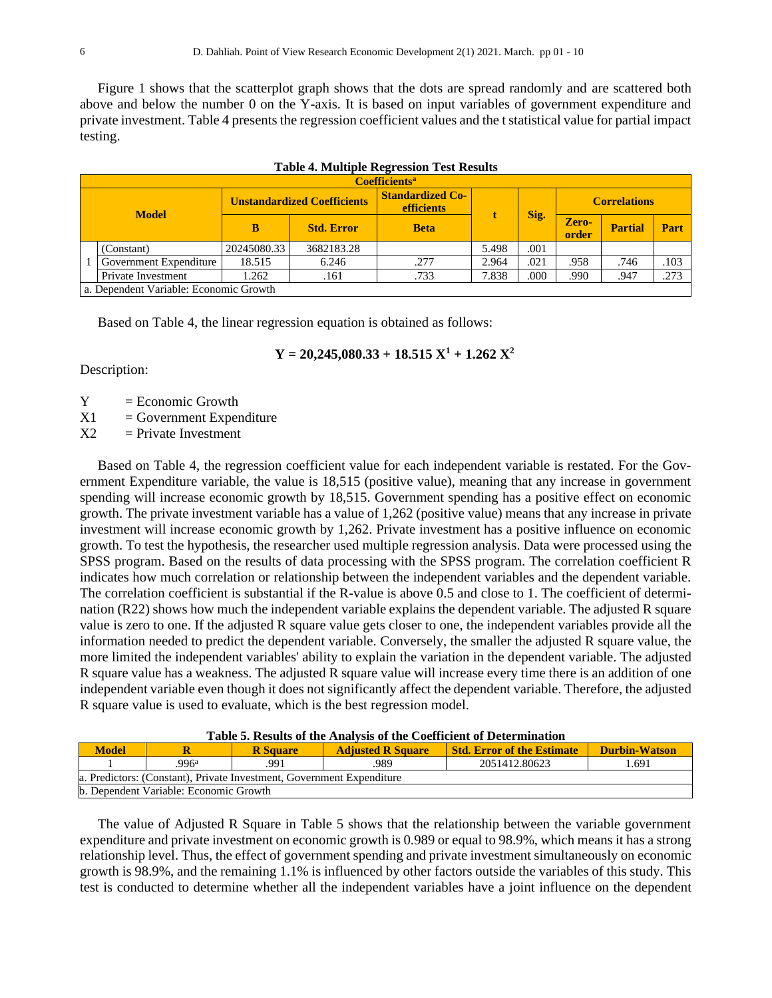Figure 1 shows that the scatterplot graph shows that the dots are spread randomly and are scattered both above and below the number 0 on the Y-axis. It is based on input variables of government expenditure and private investment. Table 4 presents the regression coefficient values and the t statistical value for partial impact testing.

|                                                                                                                                   |                                        | <b>Table 4. Multiple Regression Test Results</b> |                   |             |       |      |                |                |      |
|-----------------------------------------------------------------------------------------------------------------------------------|----------------------------------------|--------------------------------------------------|-------------------|-------------|-------|------|----------------|----------------|------|
|                                                                                                                                   | <b>Coefficients</b> <sup>a</sup>       |                                                  |                   |             |       |      |                |                |      |
| <b>Standardized Co-</b><br><b>Unstandardized Coefficients</b><br><b>Correlations</b><br><b>efficients</b><br>Sig.<br><b>Model</b> |                                        |                                                  |                   |             |       |      |                |                |      |
|                                                                                                                                   |                                        | в                                                | <b>Std. Error</b> | <b>Beta</b> |       |      | Zero-<br>order | <b>Partial</b> | Part |
|                                                                                                                                   | (Constant)                             | 20245080.33                                      | 3682183.28        |             | 5.498 | .001 |                |                |      |
|                                                                                                                                   | Government Expenditure                 | 18.515                                           | 6.246             | .277        | 2.964 | .021 | .958           | .746           | .103 |
|                                                                                                                                   | Private Investment                     | .262                                             | .161              | .733        | 7.838 | .000 | .990           | .947           | .273 |
|                                                                                                                                   | a. Dependent Variable: Economic Growth |                                                  |                   |             |       |      |                |                |      |

|  | <b>Table 4. Multiple Regression Test Results</b> |
|--|--------------------------------------------------|
|  |                                                  |

Based on Table 4, the linear regression equation is obtained as follows:

# $Y = 20,245,080.33 + 18.515 X<sup>1</sup> + 1.262 X<sup>2</sup>$

Description:

- $Y = E$ conomic Growth
- $X1 = Government Expenditure$

 $X2 =$  Private Investment

Based on Table 4, the regression coefficient value for each independent variable is restated. For the Government Expenditure variable, the value is 18,515 (positive value), meaning that any increase in government spending will increase economic growth by 18,515. Government spending has a positive effect on economic growth. The private investment variable has a value of 1,262 (positive value) means that any increase in private investment will increase economic growth by 1,262. Private investment has a positive influence on economic growth. To test the hypothesis, the researcher used multiple regression analysis. Data were processed using the SPSS program. Based on the results of data processing with the SPSS program. The correlation coefficient R indicates how much correlation or relationship between the independent variables and the dependent variable. The correlation coefficient is substantial if the R-value is above 0.5 and close to 1. The coefficient of determination (R22) shows how much the independent variable explains the dependent variable. The adjusted R square value is zero to one. If the adjusted R square value gets closer to one, the independent variables provide all the information needed to predict the dependent variable. Conversely, the smaller the adjusted R square value, the more limited the independent variables' ability to explain the variation in the dependent variable. The adjusted R square value has a weakness. The adjusted R square value will increase every time there is an addition of one independent variable even though it does not significantly affect the dependent variable. Therefore, the adjusted R square value is used to evaluate, which is the best regression model.

| Table 5. Results of the Analysis of the Coefficient of Determination |
|----------------------------------------------------------------------|
|----------------------------------------------------------------------|

| <b>Model</b><br><b>Std. Error of the Estimate</b><br>Durbin-Watson<br><b>Adjusted R Square</b><br><b>R</b> Square |                                        |  |  |  |  |  |  |  |  |  |  |
|-------------------------------------------------------------------------------------------------------------------|----------------------------------------|--|--|--|--|--|--|--|--|--|--|
| $996^{\rm a}$<br>2051412.80623<br>.989<br>1.691<br>991                                                            |                                        |  |  |  |  |  |  |  |  |  |  |
| a. Predictors: (Constant), Private Investment, Government Expenditure                                             |                                        |  |  |  |  |  |  |  |  |  |  |
|                                                                                                                   | b. Dependent Variable: Economic Growth |  |  |  |  |  |  |  |  |  |  |

The value of Adjusted R Square in Table 5 shows that the relationship between the variable government expenditure and private investment on economic growth is 0.989 or equal to 98.9%, which means it has a strong relationship level. Thus, the effect of government spending and private investment simultaneously on economic growth is 98.9%, and the remaining 1.1% is influenced by other factors outside the variables of this study. This test is conducted to determine whether all the independent variables have a joint influence on the dependent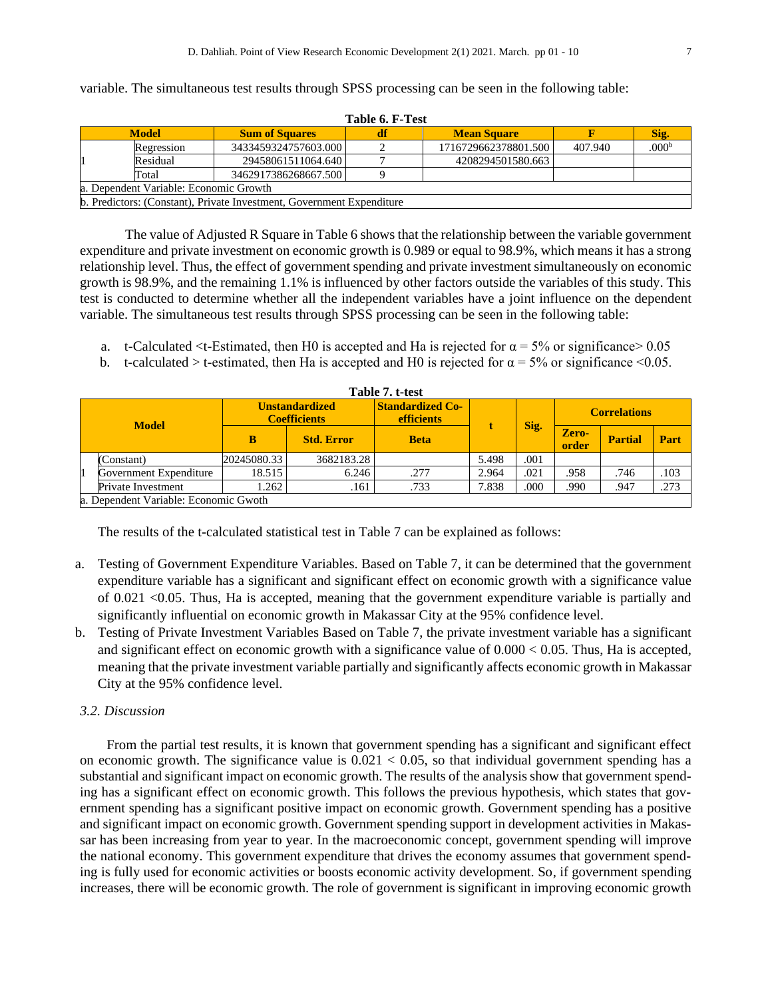variable. The simultaneous test results through SPSS processing can be seen in the following table:

|                                                                     | Table 6. F-Test |                                                                       |  |                      |         |                   |  |  |  |  |
|---------------------------------------------------------------------|-----------------|-----------------------------------------------------------------------|--|----------------------|---------|-------------------|--|--|--|--|
| <b>Model</b><br><b>Sum of Squares</b><br><b>Mean Square</b><br>Sig. |                 |                                                                       |  |                      |         |                   |  |  |  |  |
|                                                                     | Regression      | 3433459324757603.000                                                  |  | 1716729662378801.500 | 407.940 | .000 <sup>b</sup> |  |  |  |  |
|                                                                     | Residual        | 29458061511064.640                                                    |  | 4208294501580.663    |         |                   |  |  |  |  |
|                                                                     | Total           | 3462917386268667.500                                                  |  |                      |         |                   |  |  |  |  |
| a. Dependent Variable: Economic Growth                              |                 |                                                                       |  |                      |         |                   |  |  |  |  |
|                                                                     |                 | b. Predictors: (Constant), Private Investment, Government Expenditure |  |                      |         |                   |  |  |  |  |

The value of Adjusted R Square in Table 6 shows that the relationship between the variable government expenditure and private investment on economic growth is 0.989 or equal to 98.9%, which means it has a strong relationship level. Thus, the effect of government spending and private investment simultaneously on economic growth is 98.9%, and the remaining 1.1% is influenced by other factors outside the variables of this study. This test is conducted to determine whether all the independent variables have a joint influence on the dependent variable. The simultaneous test results through SPSS processing can be seen in the following table:

- a. t-Calculated <t-Estimated, then H0 is accepted and Ha is rejected for  $\alpha = 5\%$  or significance > 0.05
- b. t-calculated > t-estimated, then Ha is accepted and H0 is rejected for  $\alpha = 5\%$  or significance <0.05.

|                                                                                                                      | Table 7. t-test                       |             |                   |             |       |                     |                |                |      |
|----------------------------------------------------------------------------------------------------------------------|---------------------------------------|-------------|-------------------|-------------|-------|---------------------|----------------|----------------|------|
| <b>Standardized Co-</b><br><b>Unstandardized</b><br><b>Coefficients</b><br><b>efficients</b><br>Sig.<br><b>Model</b> |                                       |             |                   |             |       | <b>Correlations</b> |                |                |      |
|                                                                                                                      |                                       | в           | <b>Std. Error</b> | <b>Beta</b> |       |                     | Zero-<br>order | <b>Partial</b> | Part |
|                                                                                                                      | (Constant)                            | 20245080.33 | 3682183.28        |             | 5.498 | .001                |                |                |      |
|                                                                                                                      | Government Expenditure                | 18.515      | 6.246             | .277        | 2.964 | .021                | .958           | .746           | .103 |
|                                                                                                                      | <b>Private Investment</b>             | 1.262       | .161              | .733        | 7.838 | .000                | .990           | .947           | .273 |
|                                                                                                                      | a. Dependent Variable: Economic Gwoth |             |                   |             |       |                     |                |                |      |

The results of the t-calculated statistical test in Table 7 can be explained as follows:

- a. Testing of Government Expenditure Variables. Based on Table 7, it can be determined that the government expenditure variable has a significant and significant effect on economic growth with a significance value of 0.021 <0.05. Thus, Ha is accepted, meaning that the government expenditure variable is partially and significantly influential on economic growth in Makassar City at the 95% confidence level.
- b. Testing of Private Investment Variables Based on Table 7, the private investment variable has a significant and significant effect on economic growth with a significance value of 0.000 < 0.05. Thus, Ha is accepted, meaning that the private investment variable partially and significantly affects economic growth in Makassar City at the 95% confidence level.

# *3.2. Discussion*

From the partial test results, it is known that government spending has a significant and significant effect on economic growth. The significance value is  $0.021 < 0.05$ , so that individual government spending has a substantial and significant impact on economic growth. The results of the analysis show that government spending has a significant effect on economic growth. This follows the previous hypothesis, which states that government spending has a significant positive impact on economic growth. Government spending has a positive and significant impact on economic growth. Government spending support in development activities in Makassar has been increasing from year to year. In the macroeconomic concept, government spending will improve the national economy. This government expenditure that drives the economy assumes that government spending is fully used for economic activities or boosts economic activity development. So, if government spending increases, there will be economic growth. The role of government is significant in improving economic growth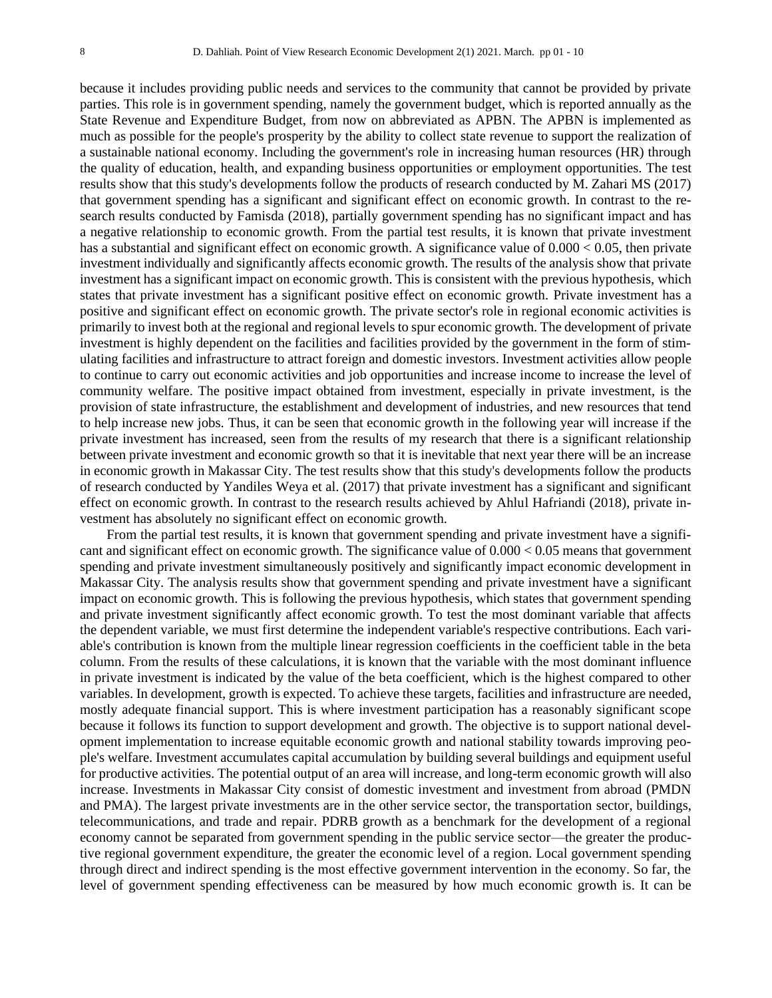because it includes providing public needs and services to the community that cannot be provided by private parties. This role is in government spending, namely the government budget, which is reported annually as the State Revenue and Expenditure Budget, from now on abbreviated as APBN. The APBN is implemented as much as possible for the people's prosperity by the ability to collect state revenue to support the realization of a sustainable national economy. Including the government's role in increasing human resources (HR) through the quality of education, health, and expanding business opportunities or employment opportunities. The test results show that this study's developments follow the products of research conducted by M. Zahari MS (2017) that government spending has a significant and significant effect on economic growth. In contrast to the research results conducted by Famisda (2018), partially government spending has no significant impact and has a negative relationship to economic growth. From the partial test results, it is known that private investment has a substantial and significant effect on economic growth. A significance value of  $0.000 < 0.05$ , then private investment individually and significantly affects economic growth. The results of the analysis show that private investment has a significant impact on economic growth. This is consistent with the previous hypothesis, which states that private investment has a significant positive effect on economic growth. Private investment has a positive and significant effect on economic growth. The private sector's role in regional economic activities is primarily to invest both at the regional and regional levels to spur economic growth. The development of private investment is highly dependent on the facilities and facilities provided by the government in the form of stimulating facilities and infrastructure to attract foreign and domestic investors. Investment activities allow people to continue to carry out economic activities and job opportunities and increase income to increase the level of community welfare. The positive impact obtained from investment, especially in private investment, is the provision of state infrastructure, the establishment and development of industries, and new resources that tend to help increase new jobs. Thus, it can be seen that economic growth in the following year will increase if the private investment has increased, seen from the results of my research that there is a significant relationship between private investment and economic growth so that it is inevitable that next year there will be an increase in economic growth in Makassar City. The test results show that this study's developments follow the products of research conducted by Yandiles Weya et al. (2017) that private investment has a significant and significant effect on economic growth. In contrast to the research results achieved by Ahlul Hafriandi (2018), private investment has absolutely no significant effect on economic growth.

From the partial test results, it is known that government spending and private investment have a significant and significant effect on economic growth. The significance value of 0.000 < 0.05 means that government spending and private investment simultaneously positively and significantly impact economic development in Makassar City. The analysis results show that government spending and private investment have a significant impact on economic growth. This is following the previous hypothesis, which states that government spending and private investment significantly affect economic growth. To test the most dominant variable that affects the dependent variable, we must first determine the independent variable's respective contributions. Each variable's contribution is known from the multiple linear regression coefficients in the coefficient table in the beta column. From the results of these calculations, it is known that the variable with the most dominant influence in private investment is indicated by the value of the beta coefficient, which is the highest compared to other variables. In development, growth is expected. To achieve these targets, facilities and infrastructure are needed, mostly adequate financial support. This is where investment participation has a reasonably significant scope because it follows its function to support development and growth. The objective is to support national development implementation to increase equitable economic growth and national stability towards improving people's welfare. Investment accumulates capital accumulation by building several buildings and equipment useful for productive activities. The potential output of an area will increase, and long-term economic growth will also increase. Investments in Makassar City consist of domestic investment and investment from abroad (PMDN and PMA). The largest private investments are in the other service sector, the transportation sector, buildings, telecommunications, and trade and repair. PDRB growth as a benchmark for the development of a regional economy cannot be separated from government spending in the public service sector—the greater the productive regional government expenditure, the greater the economic level of a region. Local government spending through direct and indirect spending is the most effective government intervention in the economy. So far, the level of government spending effectiveness can be measured by how much economic growth is. It can be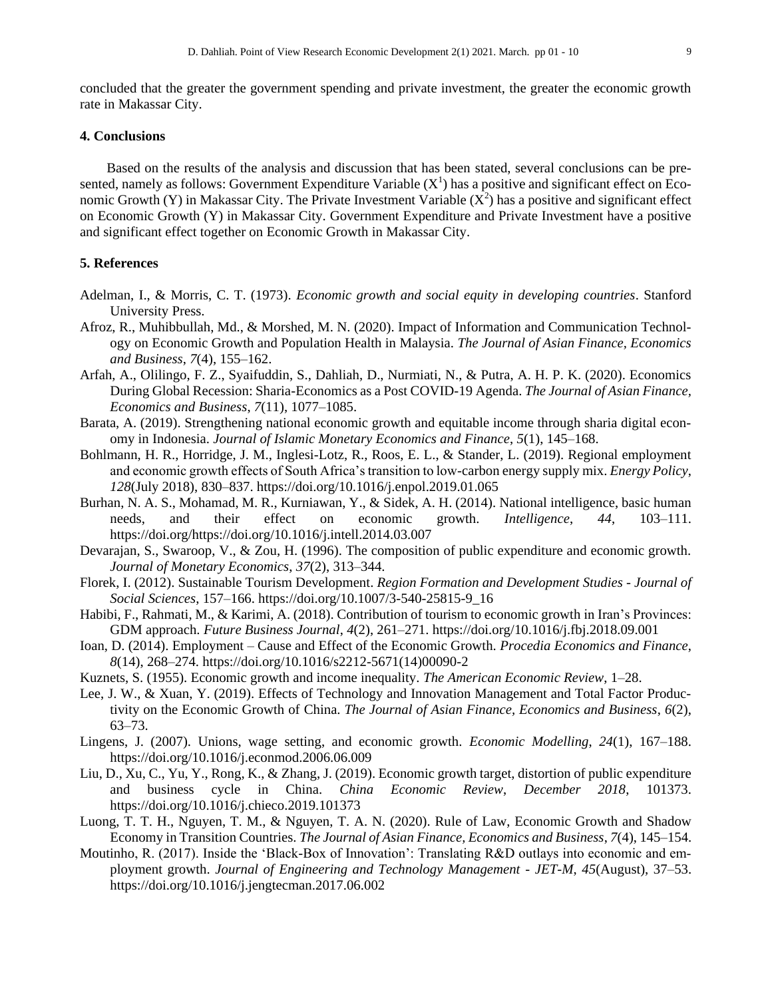concluded that the greater the government spending and private investment, the greater the economic growth rate in Makassar City.

#### **4. Conclusions**

Based on the results of the analysis and discussion that has been stated, several conclusions can be presented, namely as follows: Government Expenditure Variable  $(X^1)$  has a positive and significant effect on Economic Growth (Y) in Makassar City. The Private Investment Variable  $(X^2)$  has a positive and significant effect on Economic Growth (Y) in Makassar City. Government Expenditure and Private Investment have a positive and significant effect together on Economic Growth in Makassar City.

### **5. References**

- Adelman, I., & Morris, C. T. (1973). *Economic growth and social equity in developing countries*. Stanford University Press.
- Afroz, R., Muhibbullah, Md., & Morshed, M. N. (2020). Impact of Information and Communication Technology on Economic Growth and Population Health in Malaysia. *The Journal of Asian Finance, Economics and Business*, *7*(4), 155–162.
- Arfah, A., Olilingo, F. Z., Syaifuddin, S., Dahliah, D., Nurmiati, N., & Putra, A. H. P. K. (2020). Economics During Global Recession: Sharia-Economics as a Post COVID-19 Agenda. *The Journal of Asian Finance, Economics and Business*, *7*(11), 1077–1085.
- Barata, A. (2019). Strengthening national economic growth and equitable income through sharia digital economy in Indonesia. *Journal of Islamic Monetary Economics and Finance*, *5*(1), 145–168.
- Bohlmann, H. R., Horridge, J. M., Inglesi-Lotz, R., Roos, E. L., & Stander, L. (2019). Regional employment and economic growth effects of South Africa's transition to low-carbon energy supply mix. *Energy Policy*, *128*(July 2018), 830–837. https://doi.org/10.1016/j.enpol.2019.01.065
- Burhan, N. A. S., Mohamad, M. R., Kurniawan, Y., & Sidek, A. H. (2014). National intelligence, basic human needs, and their effect on economic growth. *Intelligence*, *44*, 103–111. https://doi.org/https://doi.org/10.1016/j.intell.2014.03.007
- Devarajan, S., Swaroop, V., & Zou, H. (1996). The composition of public expenditure and economic growth. *Journal of Monetary Economics*, *37*(2), 313–344.
- Florek, I. (2012). Sustainable Tourism Development. *Region Formation and Development Studies - Journal of Social Sciences*, 157–166. https://doi.org/10.1007/3-540-25815-9\_16
- Habibi, F., Rahmati, M., & Karimi, A. (2018). Contribution of tourism to economic growth in Iran's Provinces: GDM approach. *Future Business Journal*, *4*(2), 261–271. https://doi.org/10.1016/j.fbj.2018.09.001
- Ioan, D. (2014). Employment Cause and Effect of the Economic Growth. *Procedia Economics and Finance*, *8*(14), 268–274. https://doi.org/10.1016/s2212-5671(14)00090-2
- Kuznets, S. (1955). Economic growth and income inequality. *The American Economic Review*, 1–28.
- Lee, J. W., & Xuan, Y. (2019). Effects of Technology and Innovation Management and Total Factor Productivity on the Economic Growth of China. *The Journal of Asian Finance, Economics and Business*, *6*(2), 63–73.
- Lingens, J. (2007). Unions, wage setting, and economic growth. *Economic Modelling*, *24*(1), 167–188. https://doi.org/10.1016/j.econmod.2006.06.009
- Liu, D., Xu, C., Yu, Y., Rong, K., & Zhang, J. (2019). Economic growth target, distortion of public expenditure and business cycle in China. *China Economic Review*, *December 2018*, 101373. https://doi.org/10.1016/j.chieco.2019.101373
- Luong, T. T. H., Nguyen, T. M., & Nguyen, T. A. N. (2020). Rule of Law, Economic Growth and Shadow Economy in Transition Countries. *The Journal of Asian Finance, Economics and Business*, *7*(4), 145–154.
- Moutinho, R. (2017). Inside the 'Black-Box of Innovation': Translating R&D outlays into economic and employment growth. *Journal of Engineering and Technology Management - JET-M*, *45*(August), 37–53. https://doi.org/10.1016/j.jengtecman.2017.06.002